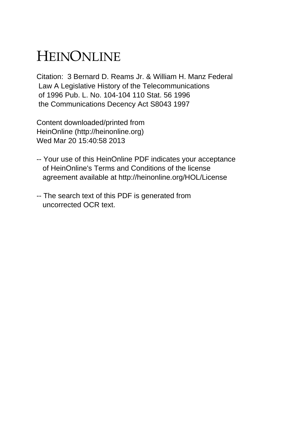# HEINONLINE

Citation: 3 Bernard D. Reams Jr. & William H. Manz Federal Law A Legislative History of the Telecommunications of 1996 Pub. L. No. 104-104 110 Stat. 56 1996 the Communications Decency Act S8043 1997

Content downloaded/printed from HeinOnline (http://heinonline.org) Wed Mar 20 15:40:58 2013

- -- Your use of this HeinOnline PDF indicates your acceptance of HeinOnline's Terms and Conditions of the license agreement available at http://heinonline.org/HOL/License
- -- The search text of this PDF is generated from uncorrected OCR text.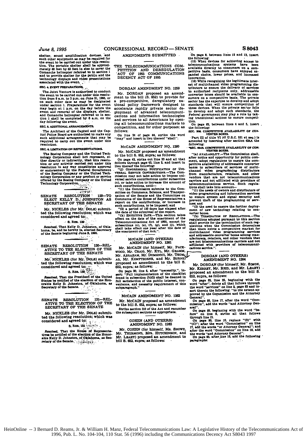*June 8, 1995* **CO**<br> **c**orrect excel in the deviced and

shelter. **wound** amplification devices. **and** such other equipment as may be required for<br>the event to be carried out under this resolution. The portable absolution<br>tion. The portable absolution shall be approximately 60 feet by 65 feet in size to cover the<br>Comanche h technology **displays end video** presentations anociated with the event.

SEC. **a. EVIET** PREPARATION

*The* **Joint Venture Is** authorized to conduct the event to **be** carried out under this **resolU-**tion from **8** a.m. to **3** p.m.-on **June** 21. **1991.** or on such other date as may be designated under section 1. Preparations for the sweat<br>may begin at 1 p.m. on the day before the sweat<br>and comanche believed of the displays, abelieve,<br>and Comanche believed referred to in sec-

## SEC. **A. ADDITIONAL ARRANGEMENTS.**

**The** Architect of the Capitol **and** the Cap-itol **Police** Board ar authorized to **make any** such additional arrangemente that **may** be **required** to carry out the event under this resolution.

## **SEC. <b>4. LIGITATION ON REPRESENTATIONS.**

The Boeing Company and the United Technology Corporation shall not represent, either directly or indirectly, that this resolution or any activity carried out under this resolution or any activity carried out under this res of the Boeing Company or the United Tech-nology Corporation or **any** product or eervice offered **by** the Boeing Company or the United Technology Corporation.. *-*

**SENATE RESOLUTION 129-TO ELECT KELLY. D. JOHNSTON AS SECRETARY OF THE SENATE**

Mr. **NICKLES** (for Mr.: DOLE) submitted the following resolution; which **was** considered and agreed **to:.."**

## **6.** Ro. **12.-**

Resoled. *That* Kelly **D.** Johnston. **of Okla-**homa. **be. and he hereby Is.** elected **ecretary** of the Senate *beginninl* **June S.** 1995.

## **SENATE RESOLUTION 130-REL-<br>ATIVE TO THE ELECTION OF THE** SECRETARY OF **THE SENATE**

**Mr.** NICKLES (for Mr.-DOLE) submitted the followlng resolution; **which** was considered **and** agreed to. -*::* 

**Pesolved.** That the President of the United States be notified of the election of the Honorable Kelly D. Johnston, of-Oklahoma, as Secretary of the Senate.

# **SENATE** RESOL UTION 131-REL-ATIVE TO THE ELECTION OF THE SECRETARY **OF** THE **SENATE**

Mr. **NICKLES** (for Mr. DOLE) submitted the **following** resolution. which was considered and agreed to:  $\frac{1}{2}$ .

**Pescheed. That the House of Representa-<br>tives be notified of the election of the Honor-<br>able Kelly D. Johnston. of Oklahoma as Sec-<br>retary of the Senate.'...; ;;;;;;;;;;;;;;;;;;** 

THE TELECOMMUNICATIONS COM-<br>PETITION AND DEREGULATION petitive by<br>NCT OF 1935 COMMUNICATIONS padded choros<br>DECENCY ACT OF 1995

Mr. DORGAN proposed an amend-converter boxes should be available to the bill (S. 652) to provide for summers on a competitive basis. The processus a pro-competitive, deregulatory na-estor has the experience of a pro-compet Incorporational policy framework designed to etandards that will ensure competitive, deregulatory na-<br> **Ional policy framework designed to etandards that will ensure competition of**<br>  $\frac{1}{2}$ tional policy framework designed to accelerate rapidly private sector deployment of advanced telecommunications and information technologies and services to all Americans by open-Ing all telecommunications markets to **On pe** *62.* **between lines 4 and 5.** competition, and for other purposes; as follows: **follows:** SEC. **208. COMPETITIVE AVAILABILITY OF CON.** 

**On line** 24 of page 44. strike the **word VEITER BOXES. "may"** and insert **in** lieu thereof "shall". Part **Il** of title VI (47 **U.S.C.** 921 **et**

## McCAIN AMENDMENT NO. 1260 following:

Mr. McCAIN proposed an'amendment to the bill **S. 652**, supra; as follows:

On page 42, etrike out line **2** and all that follows through page 43, line 2, and insert in lieu thereof the following:

mission may not kake action to impose uni-<br>
rendom a that are not telecommunications may not kake action to impose uni-<br>
rendom that are not telecommunications of the action of the<br>
such contributions under subsection<br>
su

**Mr. McCAIN** (for himself. **Mr. PACK- cations service.".** WOOD, Mr. CRAIG, Mr. KYL, Mr. GRAMM, WALKIM AND OTHERS, Mr. KEMPTRONNS, ASH ORGAN (AND OTHERS)

On page 90, line 6, after "necessity.", in-<br>sert: "Pull implementation of the checklist proposed an amendment to the<br>found in subsection (b)(2) shall be deemed in 652, supra, as follows: nulus in succession of the public interest, con-<br>
verificial that follows and necessary requirement of this word "after", delete all that follows it<br>
subparagraph." the word "aervices" on line 2, page 63

Mr. **MCCAIN** proposed **an** amendment **On page 65. line I. after** the word to the **bill S. 652. supra** as follows: mission", **add** the words "and Attorne

Strike section **310** of the Act **and** renumber eral". the eubsequent sections Sa propriate.. **On paIge 89,** beginning with the wo

**Mr. COHEN (for himself, Ms. SNOWE,** Mr. **THURMOND. Mrs.** HTrCHINSON. and **the** words "and Attorney General". Mr. LE AnY) proposed an amendment to **On page 90.** after.U1ne **1. add** the **fel bill S. 652.** supra; as follows: **- paragraphs:**

**AMENDMENTS SUBMITTED On Page 8.** between lines 12 and **13.** Insert

the following access to<br>
(15) When devices for achieving access to<br> **THE TELECOMMUNICATIONS COM- telecommunications systems** have been sd **ex.** reased

inovation.<br>(16) While recognizing the legitimate inter-**DORGAN AMENDMENT NO. 1259**<br> **to authorized recipients only. addressable**<br> **Mr.** DORGAN proposed an amend-bo authorized recipients only. addressable<br>
int to the bill (S. 652) to provide for summers on a commetitive basis. r *sans*<br>*s*. the<br>mpeti-

tion.<br>On page 82, between lines 4 and 5, insert,<br>the following:

**e. 44, strike the word Part Tyggrid Control** Consists and the seq.) is<br>
cuthereof "shall". Part III of title VI (47 U.S.C. 521 et seq.) is<br> **LA CONSISTENT ALL** 

**• SEC. 634B. COMPETTIVE AVAILABILFIT OF CON-Shall.**

On page 42, strike out line 23 and all that<br>
ment, adopt regulations to ensure the com-<br>
follows through page 43, this 2, and insert in patitive availability of addressable converter<br>
illumination of particular patitive a after potice and opportunity for public com-

tors of<br>ervices<br>ty **and** 

eploy- **;o con-**

MCCAIN (AND OTHERS)<br>MCCAIN (AND OTHERS)<br>MENDMENT NO. 1261 are not telecommunications carriers and<br>AMENDMENT NO. 1261 and not becommunications carriers of telecom-.- The **section** .h rag- **rmlnes ket** for **arvices Is that .l** not

mr. DORGAN (for nimself, mr. Suson,<br>652, supra: as follows: **1999** Mr. RERRY. Mr. REID. and Mr. LEAHT) Mr. DORGAN (for himself. Mr. SDMON. proposed an amendment to the bill S.

. - ert therein the **following.** "to the **ext MCCAIN AMENDMENT NO. 1282** proved **by** the Commision **and** the **At** enerail"'. th the brough and in- **snt ap-** torney

**"Coi-y** Gen-

rd **'be- follows**

equent sections as appropriate. <br>
fore on line 5, strike all that it<br>
COHEN (AND OTHERS) through line 15, replace "(3)"<br>
AMENDMENT NO. 1263<br>
(C)"; and the word "or Attorney Genera" "1With **en tine "; and 19, add**

Ilowing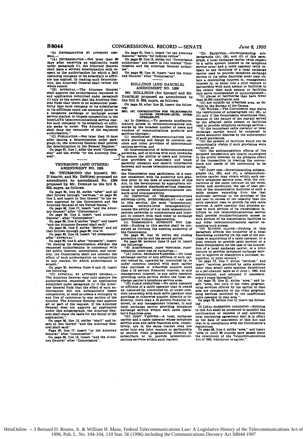days after receiving an application made authorizes" and insert in lieu thereof "Com-<br>under paragraph (i), the Attorney General mission and the Attorney General author-<br>shall issue a written determination with re-<br>izo".<br>op whole record.

**"(1)** ApPoovAJL--The Attorney General **AMENDMENT NO. 126** shall approve the authorization requested In Mr. **HOLLINGS** (for **himself** and Mr. any application submitted under paragraph DASCHLE) proposed an amendment to (1) only to the extent that the Attorney Gen-<br>the bill S. 652, suppression and the Attorney Gen-<br>eral finds that there is no substantial possi-<br>on bility that such company or its subsidiaries ing.<br>or its affiliates could use monopoly power in SEC. 107. COORDEVATION FOR TELECOMMUNI-<br>a telephone exchange or exchange access control CATONS NETWORK-LEVEL EVIES.<br>Service ma interLATA telecommunications service mar-<br>het such company or its subsidiary or affili- inatory access to telecommunications net-<br>ate seeks to enter. The Attorney General works by the broadest number of users and<br>shall den

**after** Isesing **a** determination under **pars-** work planning **and** design **by** common **car-**graph **(4).** the Attorney **General** shall publish rier and other providers of telecomunl-The determination under para-<br>after issuing a determination under para-<br>graph (4), the Attorney General Register."<br>the determination in the Federal Register."<br>to on page 91, line 1, after the word "Commis-<br>sion" add the wo **On pege 91.** line **I.** after the word "Comms- (2) Interconnection **of** telecommunications

Mr. THURMOND (for himself, Mr. the Commission may participate, in a man-D'AMATO, and Mr. DEWINE) proposed an ner consistent with its authority and prac-<br>amendment to amendment No. 1264 ties for to the date of enactment of

that follows through "services." on page 83, work-tover inveropersomity.<br>line 2. and insert in lieu thereof "to the ex-<br>line 2. and insert in lieu thereof "to the ex- **NETWORK-LEVEL INTEROPERARILITY.—As** used

ney General" after "Commission". cations networks to communicate and Inter-

General". after "Commission". -information without degeneration.

"and the Attorney General shall exch". rrn.-Nothing in this seotion shall **be** con-

that follows through **page 89** line **15.** the **Comnilon.** On **page 9,** line **16.** insert **"Sy** oundsiolo" On **page K** line **13,** strike the closing

"In insking its determination whether the **the** following. requested authorization is consistent with **"(6) ACQUISITIONS; JOI'r V EURS:** PARTthe public interest, convenience, and neces- NERSHIPS; JOINT USE OF *FACILITIES.*sity, the Commission shall not consider the **"(A)** *LOCAL EXCHANGE CARRIERS.***-No local** sity, the Commission shall not consider the "(A) *LOCAL* EXCHANGE CARRIERS.-No local

ougu.<br>On page 90, between lines 9 and 10, insert<br>the following:<br>"(C) APPROVAL BY ATTORNEY GENERAL.

The Attorney General may only approve the authorization requested in an application submitted under paragraph (1) if the Attorney center are  $\frac{1}{2}$  of  $\frac{1}{2}$  and  $\frac{1}{2}$  and  $\frac{1}{2}$  and  $\frac{1}{2}$  and  $\frac{1}{2}$  an submitted under paragraph **(1)** if the Attor- **"iS) CABLE** OPERATORS.-No cable operator Sometherman was the effect of such an. or affiliate of a cable operator that is overely denoted by, or under com-<br>the resultion, or tend to such all the effect of such an. or affiliate of a controlled by, or under com-<br>com under this subparagraph. the Attorney **Gen-** exchange service within such cable operaeral shall or part of the request. If the Attorney<br>General does not approve an application<br>under this subparagraph, the Attorney Gen-<br>eral shall state the basis for the denial of the

sert in lieu thereof "and the attack "and the Attorney Gen-<br>application.".<br>on page 90, line 12, strike "shall" and the<br>sert in lieu thereof "and the Attorney Gen-<br>eral shall each".

**Fage 90, line 17, insert "or the Attorney General" after "commission".<br>Compage 90, line 19, insert "and the Attor-<br>On page 90, line 19, insert "and the Attor-<br>ney General" after "Commission".** 

(1) DETERMINATION BY ATTORNEY GEN- On page 91, line 1; insert "or the Attorney".<br>ML-<br>(A) DETERMINATION.—Not later than 90 On page 99, line 15, strike out "Commission".

authorization." services through-<br>"(C) **PUBLICATION.-Not later than 10 days** (1) coordinated telecommunications net-

sion" add the words "or the Attorney Gen-Anetworks, and of devices with such networks,<br>real".<br>Consumere the ability of users and the<br>consumer to a semilessly and trans-**THURMOND (AND OTHERS)** parently transmit and receive information **AMENDMENT NO. 1265** works.<br> **Mr. THURMOND** (for himself, Mr. the Commission may participate, in a man-

For a function of the communistion and the communistion of the distributions of the page 82, supra, as follows:<br>
annehment No. 1264 the proposed by Mr. Dongan to the bill S. Act, in the development by appropriate volumery

tent approved by the Commission and the In this section, the term "telecommuni-<br>Attorney General of the United States.". cations network-level internormunity" **Page 8. Page 8. Page 8.** <br> **On the Attor-.** The Attor-. means the ability of 2 or more telecommuni-<br>
means the ability of 2 or more telecommuni-<br>
cations networks to communicate and inter**on page 89. line 3,** insert **"and** Attorney. act **in** concert with each other to exchange

**On page 89. line 6, strike "shall" and insert <b>(c)** COMMISSION's AUTHORITY NOT LIM-On **page 89.** line **9.** strike **"Before" and all** at'ued **an** limiting the existing authority **of**

**after** "APPROVAL". quotation marks **and the** second period. On page **90.** line *6.* after "necessity". insert: **On page 66.** between lines **13** and 14. Insert

In any market for which authorization **is tier** owned by, operated **by.** controlled **by.** or sought." It is not all the common control with such carrier **On** page **90.** between lines **9** and **i0.** insert may **purchase** or otherwise acquire more **"(C)** APPROVAL **BY ATTORNEY OENERAL.-** management interest, in any Cable operator The **Attorney** General **may** only approve the providing cable service within the local **ex-**

application.". **The line of the definition of the community of C)** JOINT VENTURE.-A local exchange On page **90**, line 12, strike "shall" and  $\mathbf{t}_D$ , carrier and a cable operator whose telephone sor in the same market may not<br>real shall each". It is a strong solution of the same market may not<br>denoted in the "commission". It is a straight international steering intensity<br>on page 90, line 19, insert "and the Attor"(D) ExcEPTION-Notwithstanding sub-<br>paragraphs (A), (B), and (C) of this paragraphs (A), (B) and (C) of this papet<br>graph, a local exchange carrier (with respect<br>o a cable system located in its telephone<br>errice area) and a carrier used to provide telephone exchange<br>expire in its cable franchise area) may ob-<br>tain a controlling interest in, management<br>interest in, or enter into a joint venture or<br>partnership with such system or facilities to<br>

than 50,000 inhabitants; and<br>"(ii) are outside an urbanized area, as de-<br>fined by the Bureau of the Census.<br>"(E) WAIVER.—The Commission may waive

the restrictions of subparagraph (A), (B), or<br>(C) only if the Commission determines that,<br>because of the nature of the market served<br>by the affected cable system or facilities<br>used to provide telephone schange service—<br>"(i

of **such** provisions, "(II) the system or facilities would not **be** economically viable **if** such provislons were

enforced, or<br>"(iii) the anticompetitive effects of the<br>proposed transaction are clearly outweighed<br>in the public interest by the probable effect.<br>of the transaction in meeting the convenlence and **needs** of the community to

served.<br>"(F) **JOINT USE**-Notwithstanding subparagraphs (A), (B), and (C), a telecommuni-<br>carions carrier may obtain within such car-<br>iner's telephone service area, with the con-<br>currence of the cable operator on the rates,<br>terms, and conditions, the use of that por-<br>ter multiuser terminal to the premises of the<br>end user in excess of the capacity that the<br>cable operator uses to provide its own cable<br>services. A cable operator that provides ac**cos** to such portion of **ito** transmission fa. cilities to one telecommunications carrier **Shall** provide nondiscriminatory access to such portion **of** its transmission facilities to

**any other telecommunications carrier.re-**<br>
questing such access.<br>
"(G) **SAVINGS CLAUSE.-Nothing in this**<br>
paragraph affecte the authority of a local<br>
franchising authority (in the case of the pur**chase or acquisition of a cable operator, or a**joint venture to provide cable service) or a
State Commission (in the case of the acquisilion of a local exchange carrier, or a joint venture to provide telephone exchange **serv-Ice) to** approve or disapprove **a** purchase, ac-

quisition, or joint venture."<br>
On page 70, line 7, actrice "."<br>
On page 70, line 7, actrice "services." and<br>
nextr "services provided by cable systems<br>
on a per-channel basis as of June 1, 1995, and<br>
on a per-channel basis

**1ng:** 3) LOCAL MARXETING AGREEMENT.-Nothing **In this Act also also also act to prohibit the** continuation or renewal of any television **local** marketing agreement that **is** in effect on the date **of** enactment **of** this Act and that **is** in compliance with the Commission's regulations. On **page 88,** line **4.** strike **"area." and** insert

**"area** or until **36** months **have passed** since the enactment of the Telecommunications Act **of 1995,** whichever is earlier.".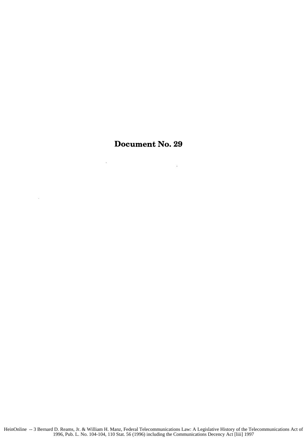# Document No. **29**

 $\ddot{\phantom{a}}$ 

 $\bar{\mathcal{A}}$ 

 $\sim$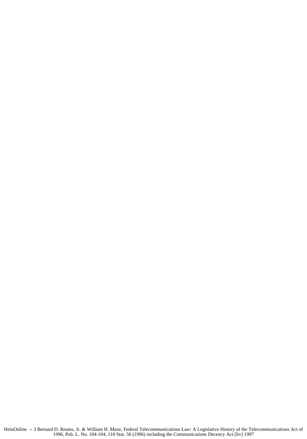HeinOnline -- 3 Bernard D. Reams, Jr. & William H. Manz, Federal Telecommunications Law: A Legislative History of the Telecommunications Act of 1996, Pub. L. No. 104-104, 110 Stat. 56 (1996) including the Communications Decency Act [liv] 1997